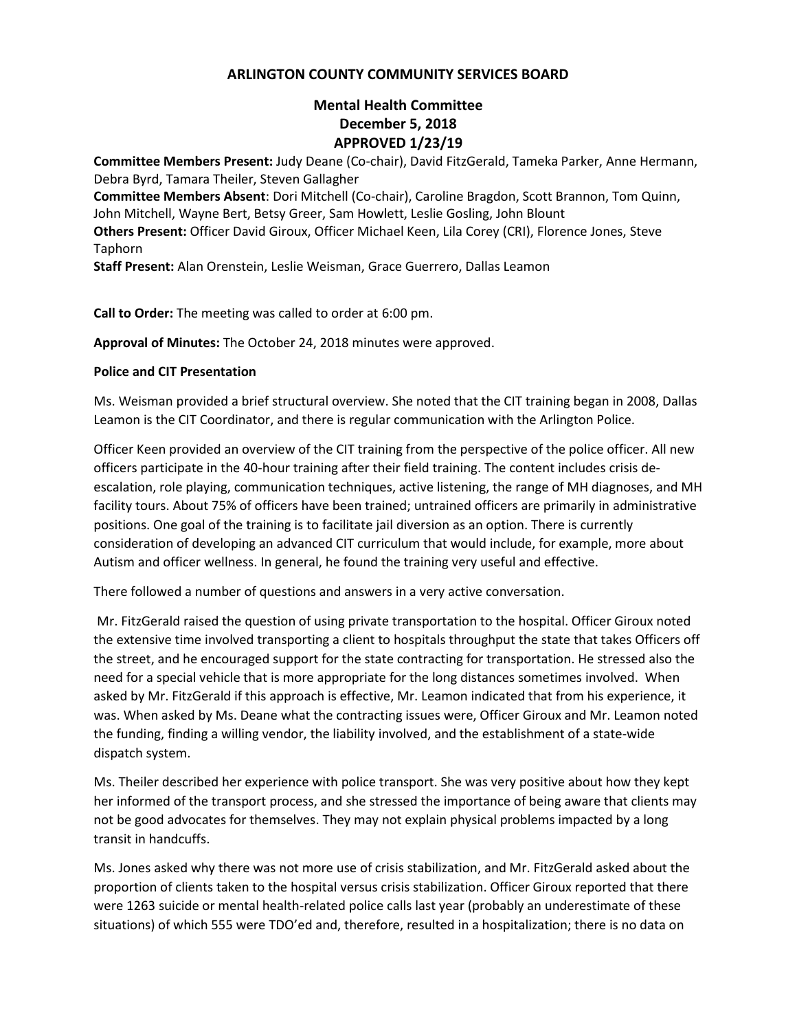## **ARLINGTON COUNTY COMMUNITY SERVICES BOARD**

# **Mental Health Committee December 5, 2018 APPROVED 1/23/19**

**Committee Members Present:** Judy Deane (Co-chair), David FitzGerald, Tameka Parker, Anne Hermann, Debra Byrd, Tamara Theiler, Steven Gallagher **Committee Members Absent**: Dori Mitchell (Co-chair), Caroline Bragdon, Scott Brannon, Tom Quinn, John Mitchell, Wayne Bert, Betsy Greer, Sam Howlett, Leslie Gosling, John Blount **Others Present:** Officer David Giroux, Officer Michael Keen, Lila Corey (CRI), Florence Jones, Steve Taphorn

**Staff Present:** Alan Orenstein, Leslie Weisman, Grace Guerrero, Dallas Leamon

**Call to Order:** The meeting was called to order at 6:00 pm.

**Approval of Minutes:** The October 24, 2018 minutes were approved.

## **Police and CIT Presentation**

Ms. Weisman provided a brief structural overview. She noted that the CIT training began in 2008, Dallas Leamon is the CIT Coordinator, and there is regular communication with the Arlington Police.

Officer Keen provided an overview of the CIT training from the perspective of the police officer. All new officers participate in the 40-hour training after their field training. The content includes crisis deescalation, role playing, communication techniques, active listening, the range of MH diagnoses, and MH facility tours. About 75% of officers have been trained; untrained officers are primarily in administrative positions. One goal of the training is to facilitate jail diversion as an option. There is currently consideration of developing an advanced CIT curriculum that would include, for example, more about Autism and officer wellness. In general, he found the training very useful and effective.

There followed a number of questions and answers in a very active conversation.

Mr. FitzGerald raised the question of using private transportation to the hospital. Officer Giroux noted the extensive time involved transporting a client to hospitals throughput the state that takes Officers off the street, and he encouraged support for the state contracting for transportation. He stressed also the need for a special vehicle that is more appropriate for the long distances sometimes involved. When asked by Mr. FitzGerald if this approach is effective, Mr. Leamon indicated that from his experience, it was. When asked by Ms. Deane what the contracting issues were, Officer Giroux and Mr. Leamon noted the funding, finding a willing vendor, the liability involved, and the establishment of a state-wide dispatch system.

Ms. Theiler described her experience with police transport. She was very positive about how they kept her informed of the transport process, and she stressed the importance of being aware that clients may not be good advocates for themselves. They may not explain physical problems impacted by a long transit in handcuffs.

Ms. Jones asked why there was not more use of crisis stabilization, and Mr. FitzGerald asked about the proportion of clients taken to the hospital versus crisis stabilization. Officer Giroux reported that there were 1263 suicide or mental health-related police calls last year (probably an underestimate of these situations) of which 555 were TDO'ed and, therefore, resulted in a hospitalization; there is no data on